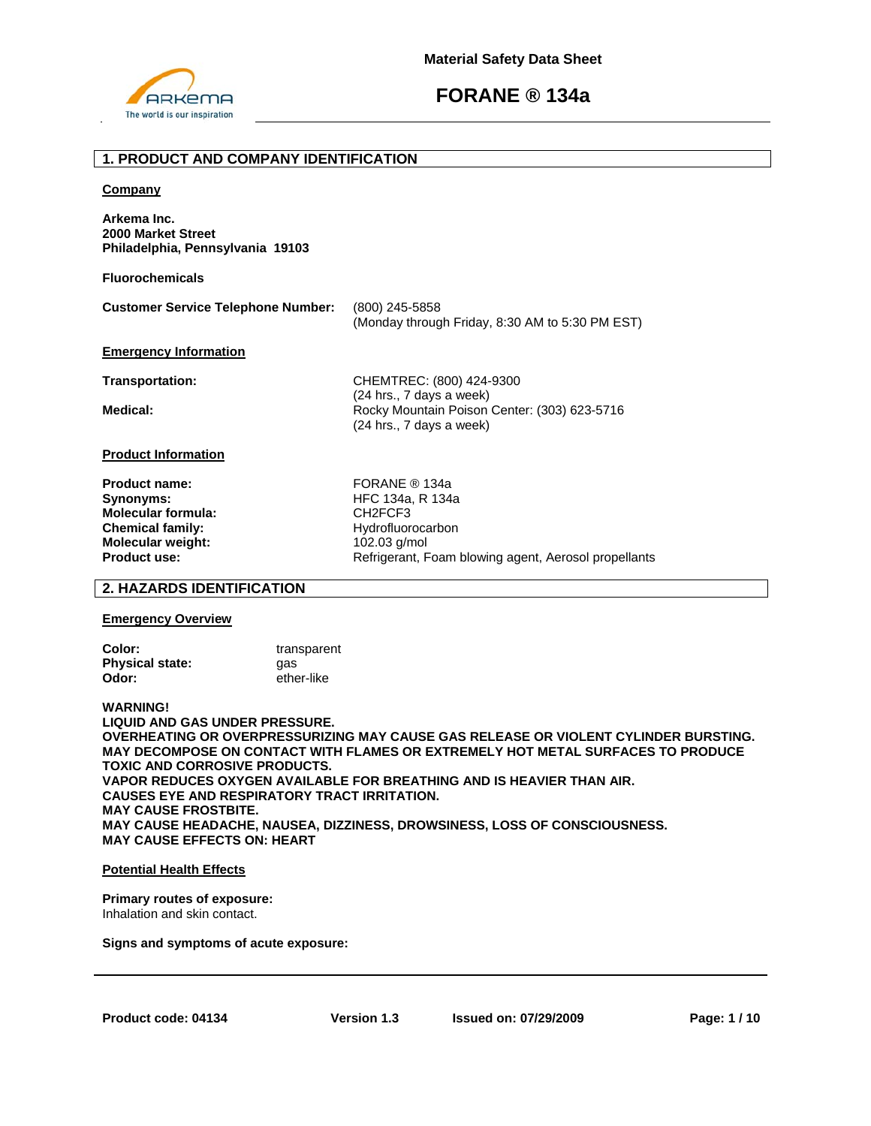

## **1. PRODUCT AND COMPANY IDENTIFICATION**

#### **Company**

**Arkema Inc. 2000 Market Street Philadelphia, Pennsylvania 19103** 

**Fluorochemicals**

| <b>Customer Service Telephone Number:</b> | (800) 245-5858                                  |
|-------------------------------------------|-------------------------------------------------|
|                                           | (Monday through Friday, 8:30 AM to 5:30 PM EST) |

### **Emergency Information**

**Transportation:** CHEMTREC: (800) 424-9300 (24 hrs., 7 days a week) **Medical: Rocky Mountain Poison Center: (303) 623-5716** (24 hrs., 7 days a week)

#### **Product Information**

**Product name:** FORANE ® 134a **Synonyms: HFC 134a, R 134a Molecular formula:** CH2FCF3 **Chemical family:** Hydrofluorocarbon **Molecular weight:** 102.03 g/mol<br> **Product use:** Refrigerant. F

Refrigerant, Foam blowing agent, Aerosol propellants

## **2. HAZARDS IDENTIFICATION**

#### **Emergency Overview**

| Color:                 | transparent |
|------------------------|-------------|
| <b>Physical state:</b> | aas         |
| Odor:                  | ether-like  |

**WARNING! LIQUID AND GAS UNDER PRESSURE. OVERHEATING OR OVERPRESSURIZING MAY CAUSE GAS RELEASE OR VIOLENT CYLINDER BURSTING. MAY DECOMPOSE ON CONTACT WITH FLAMES OR EXTREMELY HOT METAL SURFACES TO PRODUCE TOXIC AND CORROSIVE PRODUCTS. VAPOR REDUCES OXYGEN AVAILABLE FOR BREATHING AND IS HEAVIER THAN AIR. CAUSES EYE AND RESPIRATORY TRACT IRRITATION. MAY CAUSE FROSTBITE. MAY CAUSE HEADACHE, NAUSEA, DIZZINESS, DROWSINESS, LOSS OF CONSCIOUSNESS. MAY CAUSE EFFECTS ON: HEART** 

#### **Potential Health Effects**

#### **Primary routes of exposure:**  Inhalation and skin contact.

**Signs and symptoms of acute exposure:**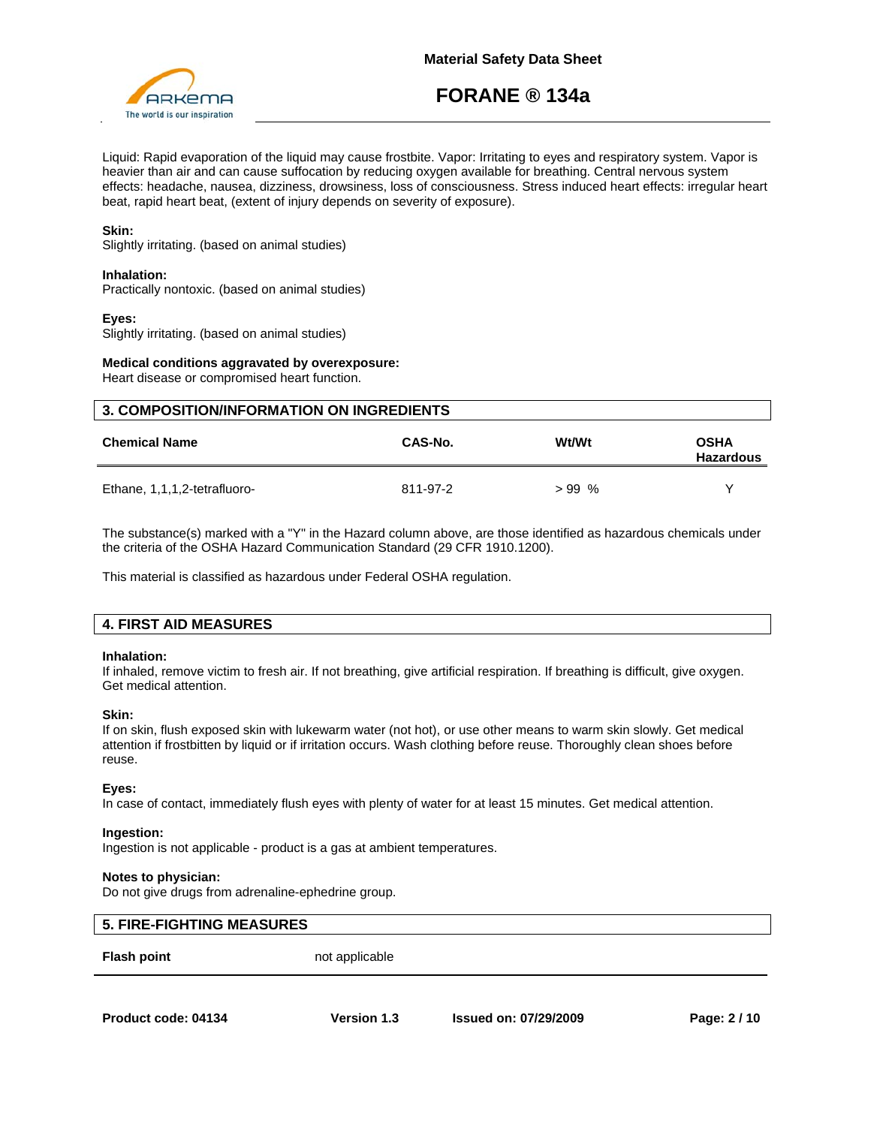

Liquid: Rapid evaporation of the liquid may cause frostbite. Vapor: Irritating to eyes and respiratory system. Vapor is heavier than air and can cause suffocation by reducing oxygen available for breathing. Central nervous system effects: headache, nausea, dizziness, drowsiness, loss of consciousness. Stress induced heart effects: irregular heart beat, rapid heart beat, (extent of injury depends on severity of exposure).

## **Skin:**

Slightly irritating. (based on animal studies)

### **Inhalation:**

Practically nontoxic. (based on animal studies)

## **Eyes:**

Slightly irritating. (based on animal studies)

### **Medical conditions aggravated by overexposure:**

Heart disease or compromised heart function.

| <b>3. COMPOSITION/INFORMATION ON INGREDIENTS</b> |          |         |                                 |
|--------------------------------------------------|----------|---------|---------------------------------|
| <b>Chemical Name</b>                             | CAS-No.  | Wt/Wt   | <b>OSHA</b><br><b>Hazardous</b> |
| Ethane, 1,1,1,2-tetrafluoro-                     | 811-97-2 | $>99\%$ | v                               |

The substance(s) marked with a "Y" in the Hazard column above, are those identified as hazardous chemicals under the criteria of the OSHA Hazard Communication Standard (29 CFR 1910.1200).

This material is classified as hazardous under Federal OSHA regulation.

## **4. FIRST AID MEASURES**

#### **Inhalation:**

If inhaled, remove victim to fresh air. If not breathing, give artificial respiration. If breathing is difficult, give oxygen. Get medical attention.

#### **Skin:**

If on skin, flush exposed skin with lukewarm water (not hot), or use other means to warm skin slowly. Get medical attention if frostbitten by liquid or if irritation occurs. Wash clothing before reuse. Thoroughly clean shoes before reuse.

#### **Eyes:**

In case of contact, immediately flush eyes with plenty of water for at least 15 minutes. Get medical attention.

#### **Ingestion:**

Ingestion is not applicable - product is a gas at ambient temperatures.

#### **Notes to physician:**

Do not give drugs from adrenaline-ephedrine group.

# **5. FIRE-FIGHTING MEASURES**

**Flash point** not applicable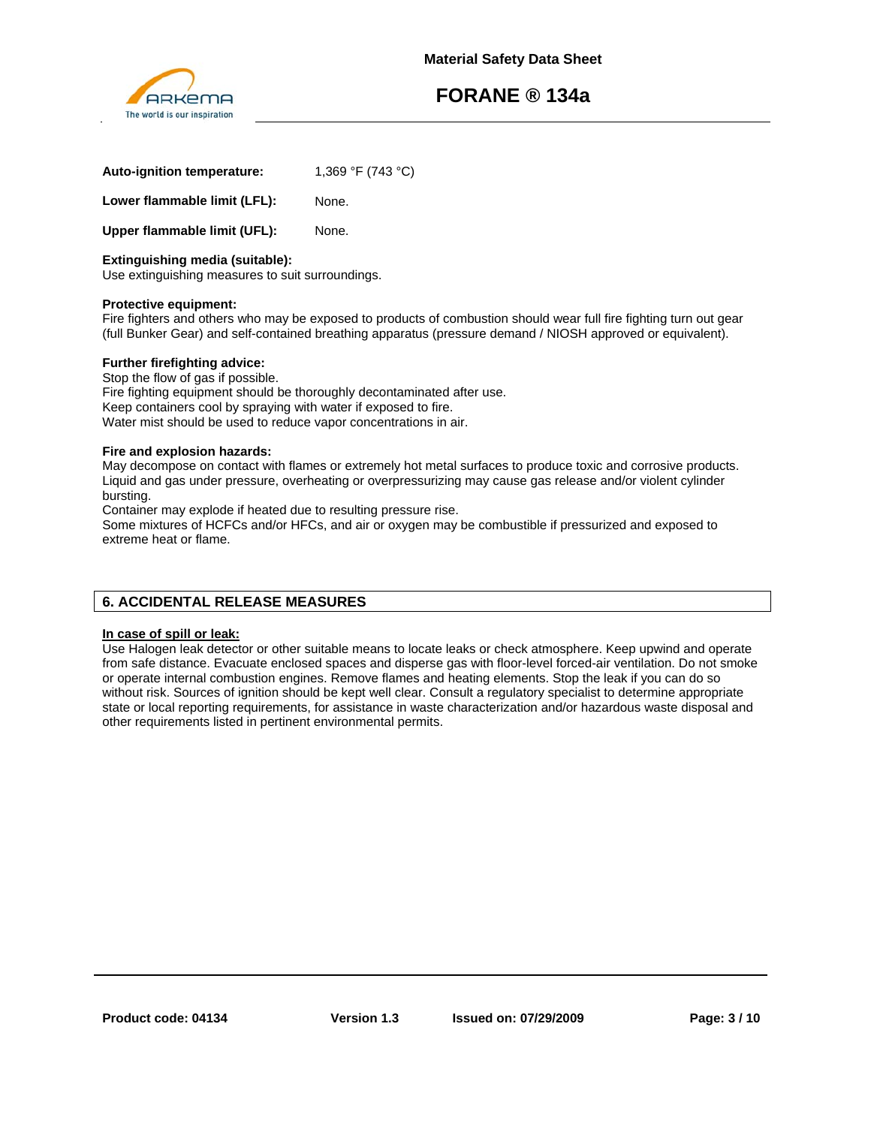

| Auto-ignition temperature:   | 1,369 °F (743 °C) |
|------------------------------|-------------------|
| Lower flammable limit (LFL): | None.             |

**Upper flammable limit (UFL):** None.

## **Extinguishing media (suitable):**

Use extinguishing measures to suit surroundings.

### **Protective equipment:**

Fire fighters and others who may be exposed to products of combustion should wear full fire fighting turn out gear (full Bunker Gear) and self-contained breathing apparatus (pressure demand / NIOSH approved or equivalent).

## **Further firefighting advice:**

Stop the flow of gas if possible. Fire fighting equipment should be thoroughly decontaminated after use. Keep containers cool by spraying with water if exposed to fire. Water mist should be used to reduce vapor concentrations in air.

### **Fire and explosion hazards:**

May decompose on contact with flames or extremely hot metal surfaces to produce toxic and corrosive products. Liquid and gas under pressure, overheating or overpressurizing may cause gas release and/or violent cylinder bursting.

Container may explode if heated due to resulting pressure rise.

Some mixtures of HCFCs and/or HFCs, and air or oxygen may be combustible if pressurized and exposed to extreme heat or flame.

## **6. ACCIDENTAL RELEASE MEASURES**

## **In case of spill or leak:**

Use Halogen leak detector or other suitable means to locate leaks or check atmosphere. Keep upwind and operate from safe distance. Evacuate enclosed spaces and disperse gas with floor-level forced-air ventilation. Do not smoke or operate internal combustion engines. Remove flames and heating elements. Stop the leak if you can do so without risk. Sources of ignition should be kept well clear. Consult a regulatory specialist to determine appropriate state or local reporting requirements, for assistance in waste characterization and/or hazardous waste disposal and other requirements listed in pertinent environmental permits.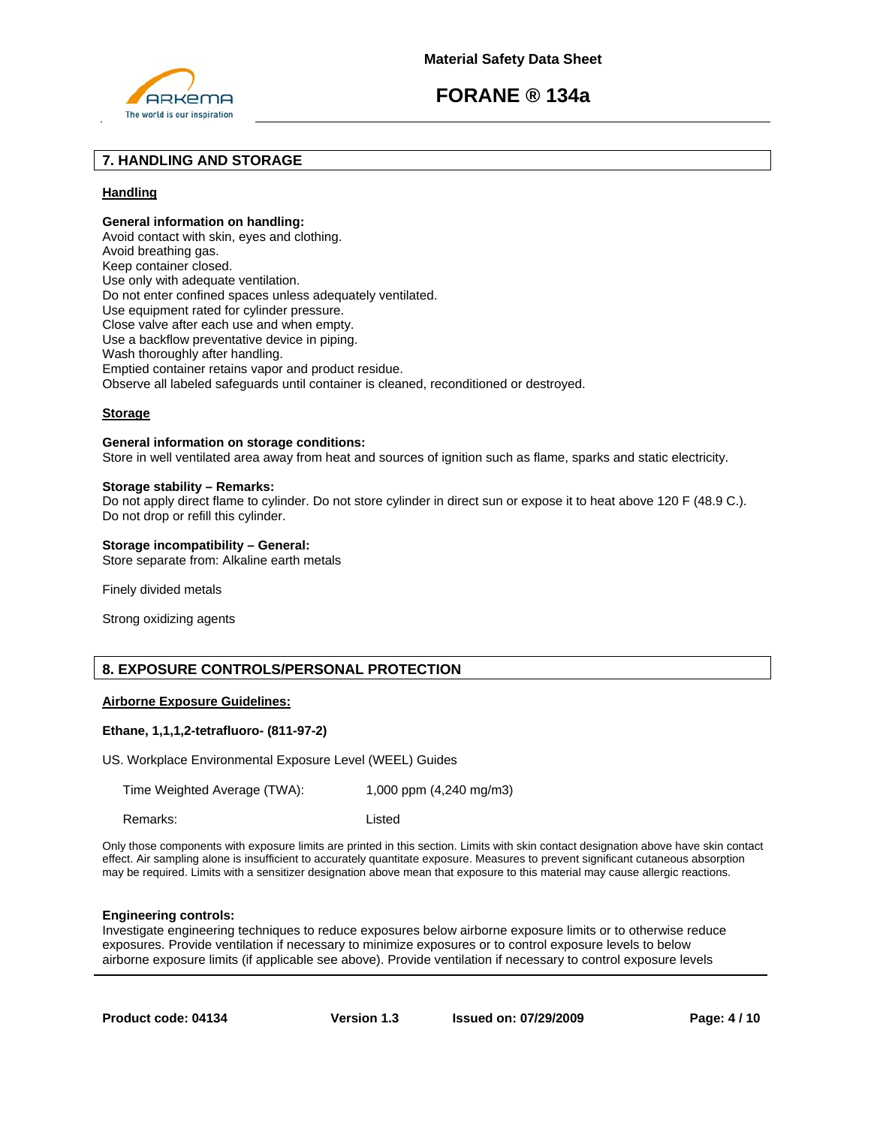





## **7. HANDLING AND STORAGE**

## **Handling**

## **General information on handling:**

Avoid contact with skin, eyes and clothing. Avoid breathing gas. Keep container closed. Use only with adequate ventilation. Do not enter confined spaces unless adequately ventilated. Use equipment rated for cylinder pressure. Close valve after each use and when empty. Use a backflow preventative device in piping. Wash thoroughly after handling. Emptied container retains vapor and product residue. Observe all labeled safeguards until container is cleaned, reconditioned or destroyed.

## **Storage**

## **General information on storage conditions:**

Store in well ventilated area away from heat and sources of ignition such as flame, sparks and static electricity.

#### **Storage stability – Remarks:**

Do not apply direct flame to cylinder. Do not store cylinder in direct sun or expose it to heat above 120 F (48.9 C.). Do not drop or refill this cylinder.

#### **Storage incompatibility – General:**

Store separate from: Alkaline earth metals

Finely divided metals

Strong oxidizing agents

## **8. EXPOSURE CONTROLS/PERSONAL PROTECTION**

### **Airborne Exposure Guidelines:**

#### **Ethane, 1,1,1,2-tetrafluoro- (811-97-2)**

US. Workplace Environmental Exposure Level (WEEL) Guides

Time Weighted Average (TWA): 1,000 ppm (4,240 mg/m3)

Remarks: Listed

Only those components with exposure limits are printed in this section. Limits with skin contact designation above have skin contact effect. Air sampling alone is insufficient to accurately quantitate exposure. Measures to prevent significant cutaneous absorption may be required. Limits with a sensitizer designation above mean that exposure to this material may cause allergic reactions.

#### **Engineering controls:**

Investigate engineering techniques to reduce exposures below airborne exposure limits or to otherwise reduce exposures. Provide ventilation if necessary to minimize exposures or to control exposure levels to below airborne exposure limits (if applicable see above). Provide ventilation if necessary to control exposure levels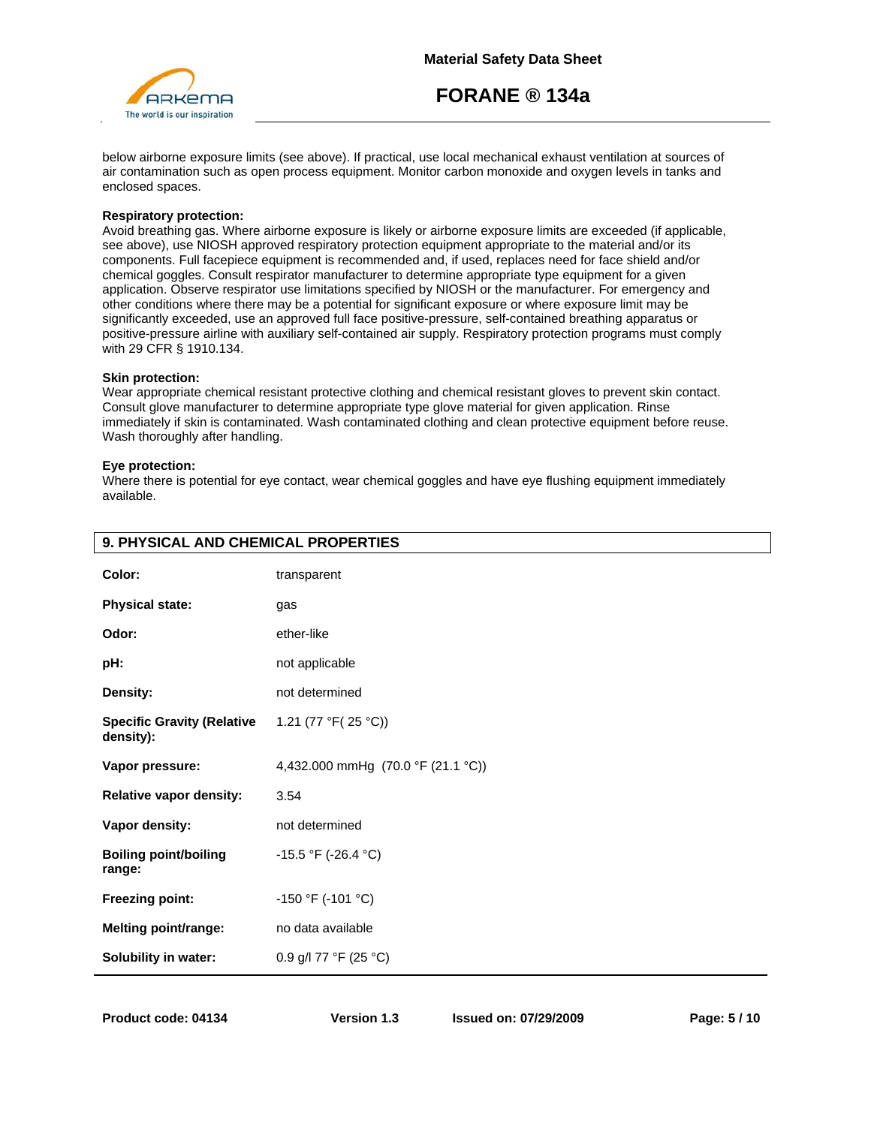

below airborne exposure limits (see above). If practical, use local mechanical exhaust ventilation at sources of air contamination such as open process equipment. Monitor carbon monoxide and oxygen levels in tanks and enclosed spaces.

#### **Respiratory protection:**

Avoid breathing gas. Where airborne exposure is likely or airborne exposure limits are exceeded (if applicable, see above), use NIOSH approved respiratory protection equipment appropriate to the material and/or its components. Full facepiece equipment is recommended and, if used, replaces need for face shield and/or chemical goggles. Consult respirator manufacturer to determine appropriate type equipment for a given application. Observe respirator use limitations specified by NIOSH or the manufacturer. For emergency and other conditions where there may be a potential for significant exposure or where exposure limit may be significantly exceeded, use an approved full face positive-pressure, self-contained breathing apparatus or positive-pressure airline with auxiliary self-contained air supply. Respiratory protection programs must comply with 29 CFR § 1910.134.

#### **Skin protection:**

Wear appropriate chemical resistant protective clothing and chemical resistant gloves to prevent skin contact. Consult glove manufacturer to determine appropriate type glove material for given application. Rinse immediately if skin is contaminated. Wash contaminated clothing and clean protective equipment before reuse. Wash thoroughly after handling.

#### **Eye protection:**

Where there is potential for eye contact, wear chemical goggles and have eye flushing equipment immediately available.

| Color:                                         | transparent                        |
|------------------------------------------------|------------------------------------|
| <b>Physical state:</b>                         | gas                                |
| Odor:                                          | ether-like                         |
| pH:                                            | not applicable                     |
| Density:                                       | not determined                     |
| <b>Specific Gravity (Relative</b><br>density): | 1.21 (77 °F(25 °C))                |
| Vapor pressure:                                | 4,432.000 mmHg (70.0 °F (21.1 °C)) |
| Relative vapor density:                        | 3.54                               |
| Vapor density:                                 | not determined                     |
| <b>Boiling point/boiling</b><br>range:         | -15.5 °F (-26.4 °C)                |
| <b>Freezing point:</b>                         | $-150$ °F (-101 °C)                |
| <b>Melting point/range:</b>                    | no data available                  |
| Solubility in water:                           | 0.9 g/l 77 °F (25 °C)              |

## **9. PHYSICAL AND CHEMICAL PROPERTIES**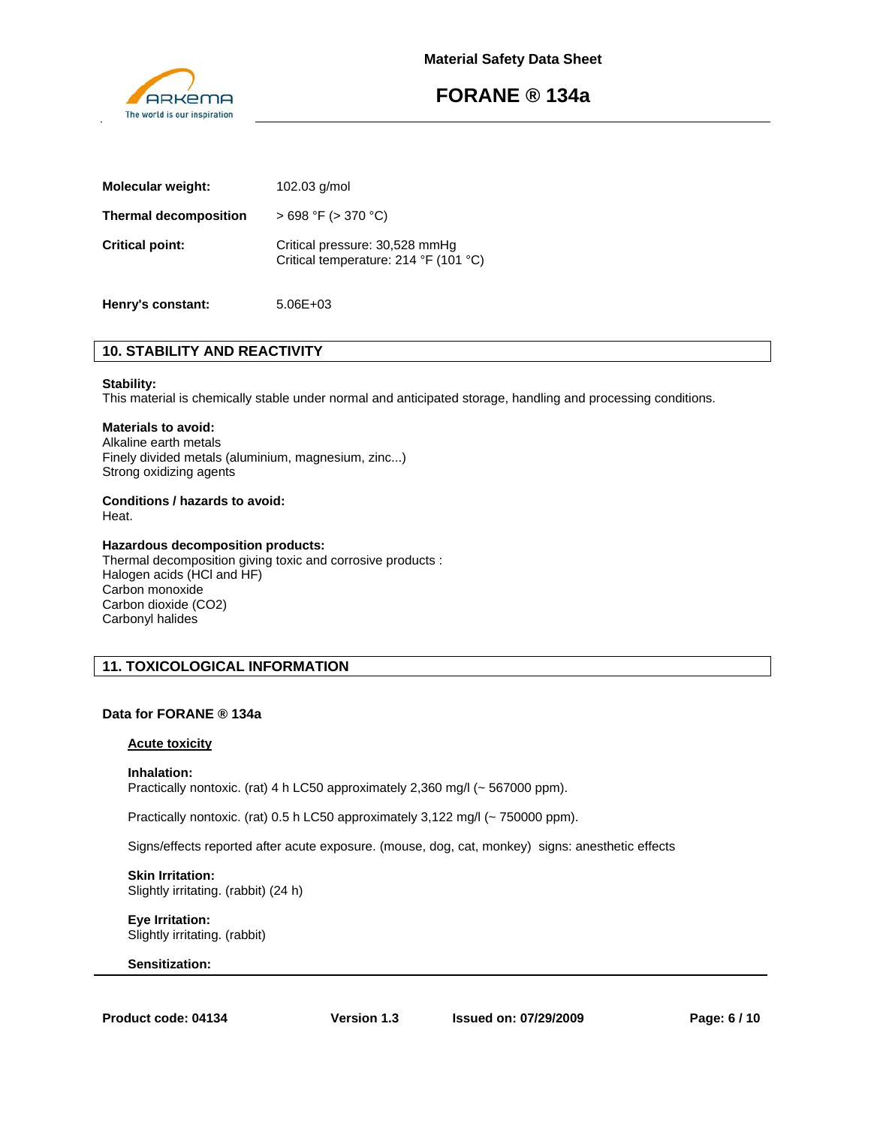

| Molecular weight:            | $102.03$ g/mol                                                          |
|------------------------------|-------------------------------------------------------------------------|
| <b>Thermal decomposition</b> | $>698$ °F ( $>370$ °C)                                                  |
| <b>Critical point:</b>       | Critical pressure: 30,528 mmHg<br>Critical temperature: 214 °F (101 °C) |

# **Henry's constant:** 5.06E+03

# **10. STABILITY AND REACTIVITY**

#### **Stability:**

This material is chemically stable under normal and anticipated storage, handling and processing conditions.

## **Materials to avoid:**

Alkaline earth metals Finely divided metals (aluminium, magnesium, zinc...) Strong oxidizing agents

# **Conditions / hazards to avoid:**

Heat.

### **Hazardous decomposition products:**

Thermal decomposition giving toxic and corrosive products : Halogen acids (HCl and HF) Carbon monoxide Carbon dioxide (CO2) Carbonyl halides

## **11. TOXICOLOGICAL INFORMATION**

## **Data for FORANE ® 134a**

## **Acute toxicity**

#### **Inhalation:**

Practically nontoxic. (rat) 4 h LC50 approximately 2,360 mg/l (~ 567000 ppm).

Practically nontoxic. (rat) 0.5 h LC50 approximately 3,122 mg/l (~ 750000 ppm).

Signs/effects reported after acute exposure. (mouse, dog, cat, monkey) signs: anesthetic effects

**Skin Irritation:**  Slightly irritating. (rabbit) (24 h)

**Eye Irritation:**  Slightly irritating. (rabbit)

#### **Sensitization:**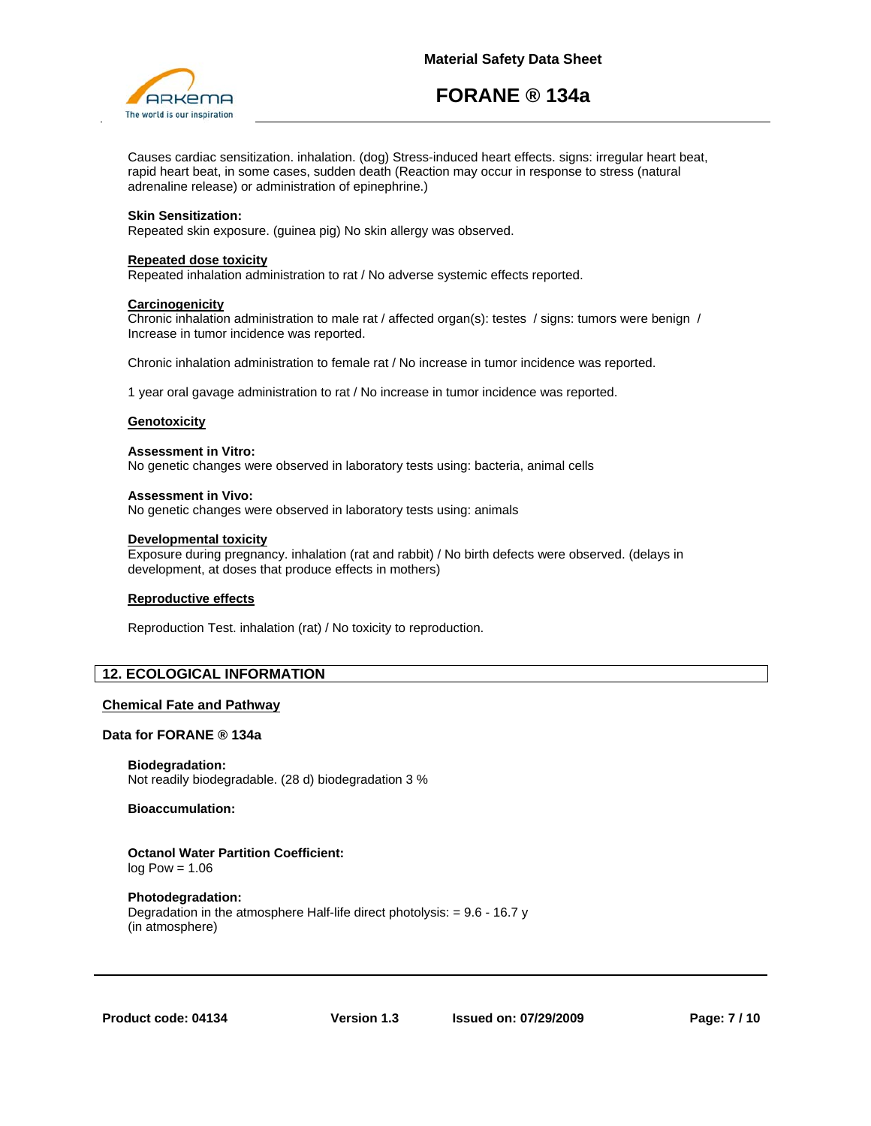

Causes cardiac sensitization. inhalation. (dog) Stress-induced heart effects. signs: irregular heart beat, rapid heart beat, in some cases, sudden death (Reaction may occur in response to stress (natural adrenaline release) or administration of epinephrine.)

### **Skin Sensitization:**

Repeated skin exposure. (guinea pig) No skin allergy was observed.

#### **Repeated dose toxicity**

Repeated inhalation administration to rat / No adverse systemic effects reported.

#### **Carcinogenicity**

Chronic inhalation administration to male rat / affected organ(s): testes / signs: tumors were benign / Increase in tumor incidence was reported.

Chronic inhalation administration to female rat / No increase in tumor incidence was reported.

1 year oral gavage administration to rat / No increase in tumor incidence was reported.

#### **Genotoxicity**

## **Assessment in Vitro:**

No genetic changes were observed in laboratory tests using: bacteria, animal cells

#### **Assessment in Vivo:**

No genetic changes were observed in laboratory tests using: animals

#### **Developmental toxicity**

Exposure during pregnancy. inhalation (rat and rabbit) / No birth defects were observed. (delays in development, at doses that produce effects in mothers)

#### **Reproductive effects**

Reproduction Test. inhalation (rat) / No toxicity to reproduction.

## **12. ECOLOGICAL INFORMATION**

#### **Chemical Fate and Pathway**

#### **Data for FORANE ® 134a**

**Biodegradation:** Not readily biodegradable. (28 d) biodegradation 3 %

#### **Bioaccumulation:**

## **Octanol Water Partition Coefficient:**  $log Pow = 1.06$

#### **Photodegradation:**

Degradation in the atmosphere Half-life direct photolysis: = 9.6 - 16.7 y (in atmosphere)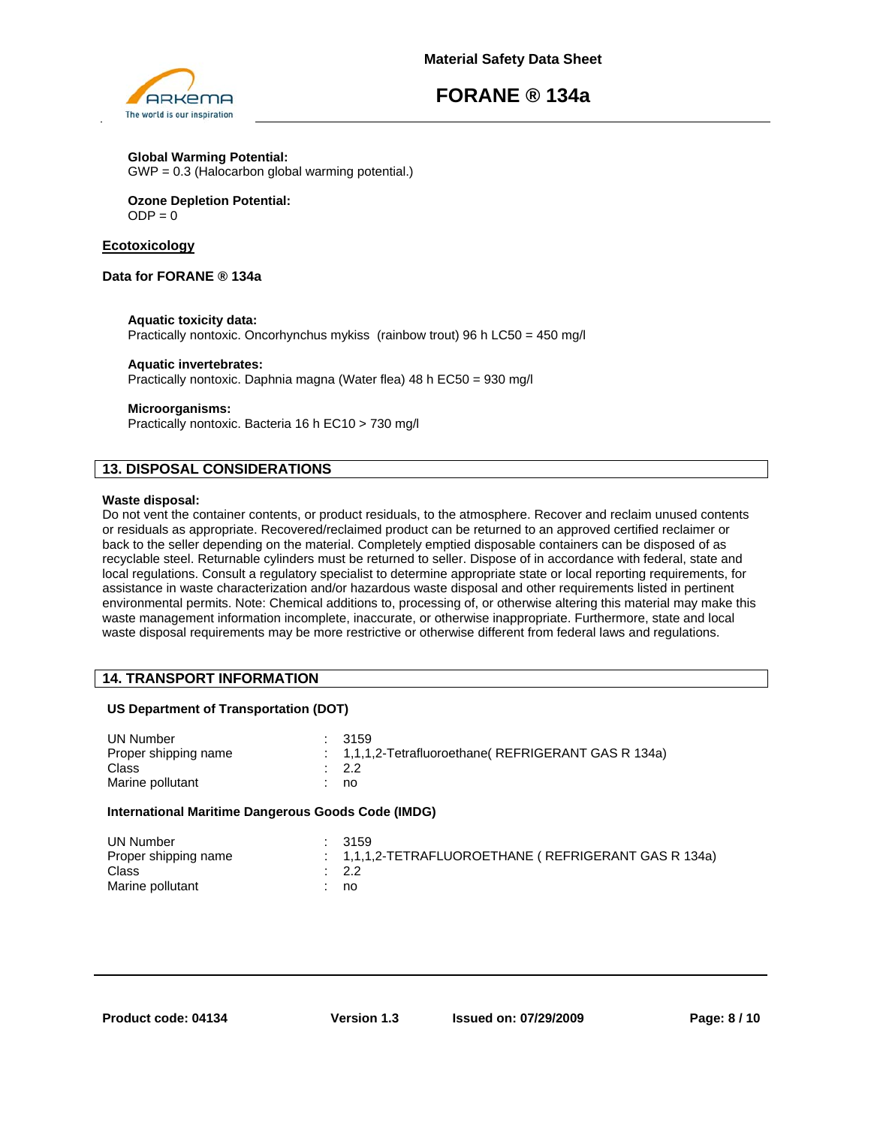

#### **Global Warming Potential:** GWP = 0.3 (Halocarbon global warming potential.)

**Ozone Depletion Potential:**  $ODE = 0$ 

## **Ecotoxicology**

## **Data for FORANE ® 134a**

## **Aquatic toxicity data:**

Practically nontoxic. Oncorhynchus mykiss (rainbow trout) 96 h LC50 = 450 mg/l

### **Aquatic invertebrates:**

Practically nontoxic. Daphnia magna (Water flea) 48 h EC50 = 930 mg/l

## **Microorganisms:**

Practically nontoxic. Bacteria 16 h EC10 > 730 mg/l

## **13. DISPOSAL CONSIDERATIONS**

### **Waste disposal:**

Do not vent the container contents, or product residuals, to the atmosphere. Recover and reclaim unused contents or residuals as appropriate. Recovered/reclaimed product can be returned to an approved certified reclaimer or back to the seller depending on the material. Completely emptied disposable containers can be disposed of as recyclable steel. Returnable cylinders must be returned to seller. Dispose of in accordance with federal, state and local regulations. Consult a regulatory specialist to determine appropriate state or local reporting requirements, for assistance in waste characterization and/or hazardous waste disposal and other requirements listed in pertinent environmental permits. Note: Chemical additions to, processing of, or otherwise altering this material may make this waste management information incomplete, inaccurate, or otherwise inappropriate. Furthermore, state and local waste disposal requirements may be more restrictive or otherwise different from federal laws and regulations.

## **14. TRANSPORT INFORMATION**

## **US Department of Transportation (DOT)**

| UN Number<br>Proper shipping name<br>Class<br>Marine pollutant |  | : 3159<br>: 1,1,1,2-Tetrafluoroethane (REFRIGERANT GAS R 134a)<br>$\therefore$ 2.2<br>: no |
|----------------------------------------------------------------|--|--------------------------------------------------------------------------------------------|
|----------------------------------------------------------------|--|--------------------------------------------------------------------------------------------|

## **International Maritime Dangerous Goods Code (IMDG)**

| UN Number            | : 3159                                                    |
|----------------------|-----------------------------------------------------------|
| Proper shipping name | $1.1, 1.1, 2$ -TETRAFLUOROETHANE (REFRIGERANT GAS R 134a) |
| Class                | $\therefore$ 2.2                                          |
| Marine pollutant     | : no                                                      |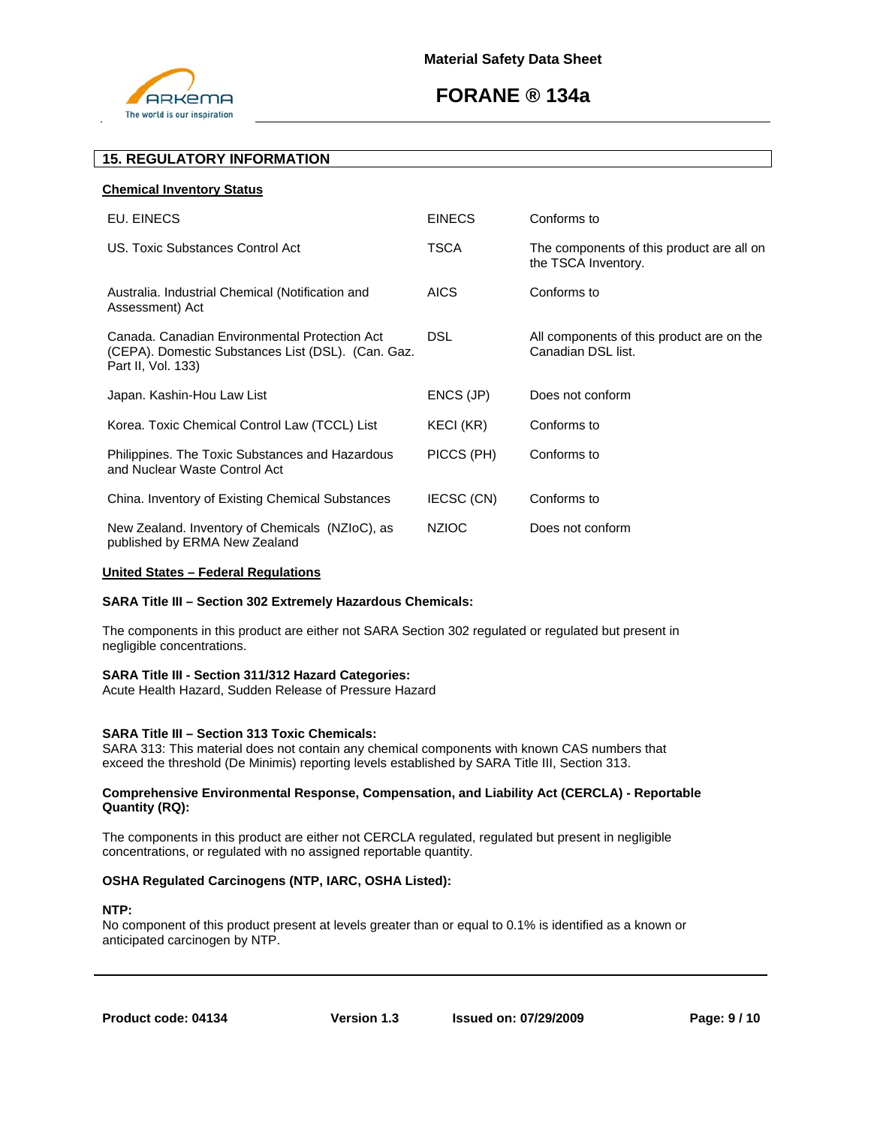

## **15. REGULATORY INFORMATION**

| EU. EINECS                                                                                                                | <b>EINECS</b> | Conforms to                                                      |
|---------------------------------------------------------------------------------------------------------------------------|---------------|------------------------------------------------------------------|
| US. Toxic Substances Control Act                                                                                          | <b>TSCA</b>   | The components of this product are all on<br>the TSCA Inventory. |
| Australia. Industrial Chemical (Notification and<br>Assessment) Act                                                       | <b>AICS</b>   | Conforms to                                                      |
| Canada, Canadian Environmental Protection Act<br>(CEPA). Domestic Substances List (DSL). (Can. Gaz.<br>Part II, Vol. 133) | <b>DSL</b>    | All components of this product are on the<br>Canadian DSL list.  |
| Japan. Kashin-Hou Law List                                                                                                | ENCS (JP)     | Does not conform                                                 |
| Korea. Toxic Chemical Control Law (TCCL) List                                                                             | KECI (KR)     | Conforms to                                                      |
| Philippines. The Toxic Substances and Hazardous<br>and Nuclear Waste Control Act                                          | PICCS (PH)    | Conforms to                                                      |
| China. Inventory of Existing Chemical Substances                                                                          | IECSC (CN)    | Conforms to                                                      |
| New Zealand. Inventory of Chemicals (NZIoC), as<br>published by ERMA New Zealand                                          | <b>NZIOC</b>  | Does not conform                                                 |

#### **United States – Federal Regulations**

## **SARA Title III – Section 302 Extremely Hazardous Chemicals:**

The components in this product are either not SARA Section 302 regulated or regulated but present in negligible concentrations.

#### **SARA Title III - Section 311/312 Hazard Categories:**

Acute Health Hazard, Sudden Release of Pressure Hazard

#### **SARA Title III – Section 313 Toxic Chemicals:**

SARA 313: This material does not contain any chemical components with known CAS numbers that exceed the threshold (De Minimis) reporting levels established by SARA Title III, Section 313.

### **Comprehensive Environmental Response, Compensation, and Liability Act (CERCLA) - Reportable Quantity (RQ):**

The components in this product are either not CERCLA regulated, regulated but present in negligible concentrations, or regulated with no assigned reportable quantity.

## **OSHA Regulated Carcinogens (NTP, IARC, OSHA Listed):**

## **NTP:**

No component of this product present at levels greater than or equal to 0.1% is identified as a known or anticipated carcinogen by NTP.